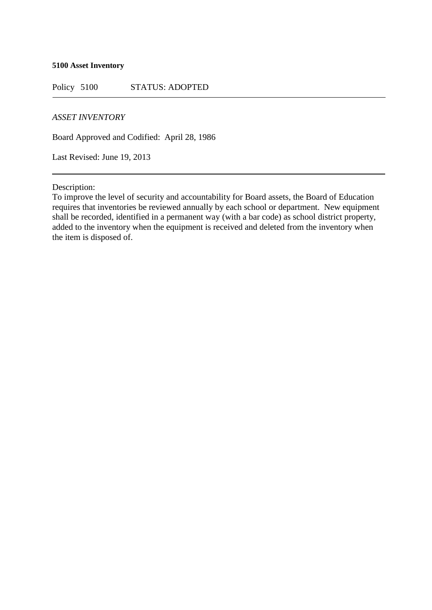## **5100 Asset Inventory**

Policy 5100 STATUS: ADOPTED

## *ASSET INVENTORY*

Board Approved and Codified: April 28, 1986

Last Revised: June 19, 2013

Description:

To improve the level of security and accountability for Board assets, the Board of Education requires that inventories be reviewed annually by each school or department. New equipment shall be recorded, identified in a permanent way (with a bar code) as school district property, added to the inventory when the equipment is received and deleted from the inventory when the item is disposed of.